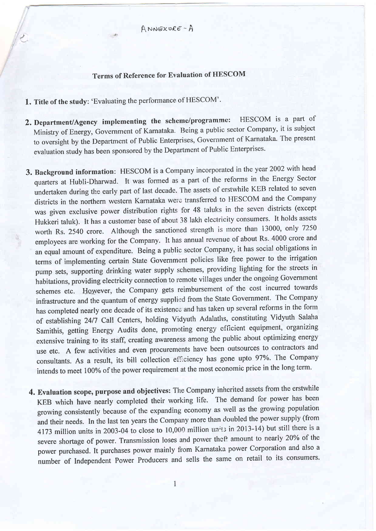A nrosxu€r - <sup>A</sup>

## Terms of Reference for Evaluation of HESCOM

1. Title of the study: 'Evaluating the performance of HESCOM'.

<sup>1</sup>l-.

- 2. Department/Agency implementing the scheme/programme: HESCOM is a part of Ministry of Energy, Government of Kamataka. Being a public sector Company, it is subject to oversight by the Department of Public Enterprises, Government of Karnataka. The present evaluation study has been sponsored by the Department of Public Enterprises.
- 3. Background information: HESCOM is a Company incorporated in the year 2002 with head quarters at Hubli-Dharwad. It was formed as a part of the reforms in the Energy Sector undertaken during the early part of last decade. The assets of erstwhile KEB related to seven districts in the northern western Karnataka werc transferred to HESCOM and the company was given exclusive power distribution rights for 48 taluks in the seven districts (except Hukkeri taluk). It has a customer base of about 38 lakh eleclricity consumers. It holds assets worth Rs. 2540 crore. Although the sanctioned strength is more than 13000, only 7250 employees are working for the Company. It has annual revenue of about Rs. 4000 crore and an equal amount of expenditure. Being a public sector Company, it has social obligations in terms of implementing certain State Government policies like free power to the irrigation pump sets, supporting drinking water supply schemes, providing lighting for the streets in habitations, providing electricity connection to remote villages under the ongoing Govemment schemes etc. However, the Company gets reimbursement of the cost incurred towards infrastructure and the quantum of energy supplied from the State Government. The Company has completed nearly one decade of its existence and has taken up several reforms in the form of establishing 2417 Call Centers, holding Vidyuth Adalaths, constituting Vidyuth Salaha Samithis, getting Energy Audits done, promoting energy efficient equipment, organizing extensive training to its staff, creating awareness among the public about optimizing energy use etc. A few activities and even procurements have been outsources to contractors and consultants. As a result, its bill collection efficiency has gone upto 97%. The Company intends to meet 100% of the power requirement at the most economic price in the long term.
- 4. Evaluation scope, purpose and objectives: The Company inherited assets from the erstwhile KEB which have nearly completed their working life. The demand for power has been growing consistently because of the expanding economy as well as the growing population and their needs. In the last ten years the Company more than doubled the power supply (from 4173 million units in 2003-04 to close to 10,000 million  $un<sup>i</sup>$  in 2013-14) but still there is a severe shortage of power. Transmission loses and power theft amount to nearly 20% of the power purchased. It purchases power mainly from Karnataka power Corporation and also a number of Independent Power Producers and sells the same on retail to its consumers.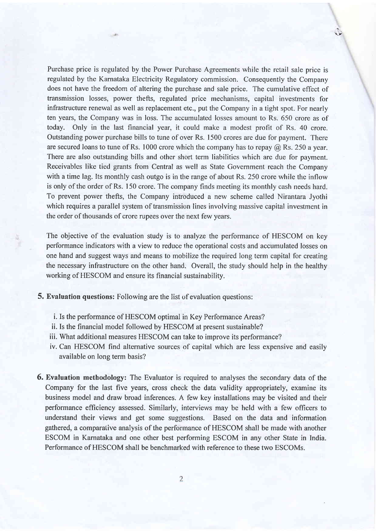Purchase price is regulated by the Power Purchase Agreements while the retail sale price is regulated by the Karnataka Electricity Regulatory commission. Consequently the Company does not have the freedom of altering the purchase and sale price. The cumulative effect of transmission losses, power thefts, regulated price mechanisms, capital investments for infrastructure renewal as well as replacement etc., put the Company in a tight spot. For nearly ten years, the Company was in loss. The accumulated losses amount to Rs. 650 crore as of today. Only in the last financial year, it could make a modest profit of Rs. 40 crore. Outstanding power purchase bills to tune of over Rs. 1500 crores are due for payment. There are secured loans to tune of Rs. 1000 crore which the company has to repay  $\omega$  Rs. 250 a year. There are also outstanding bills and other short term liabilities which are due for payment. Receivables like tied grants from Central as well as State Government reach the Company with a time lag. Its monthly cash outgo is in the range of about Rs. 250 crore while the inflow is only of the order of Rs. 150 crore. The company finds meeting its monthly cash needs hard. To prevent power thefts, the Company introduced a new scheme called Nirantara Jyothi which requires a parallel system of transmission lines involving massive capital investment in the order of thousands of crore rupees over the next few years.

 $\tilde{\epsilon}$ 

The objective of the evaluation study is to analyze the performance of HESCOM on key performance indicators with a view to reduce the operational costs and accumulated losses on one hand and suggest ways and means to mobilize the required long term capital for creating the necessary infrastructure on the other hand. Overall, the study should help in the healthy working of HESCOM and ensure its financial sustainability.

5. Evaluation questions: Following are the list of evaluation questions:

- i. Is the performance of HESCOM optimal in Key Performance Areas?
- ii. Is the financial model followed by HESCOM at present sustainable?
- iii. What additional measures HESCOM can take to improve its performance?
- iv. Can HESCOM find alternative sources of capital which are less expensive and easily available on long term basis?
- 6. Evaluation methodology: The Evaluator is required to analyses the secondary data of the Company for the last five years, cross check the data validity appropriately, examine its business model and draw broad inferences. A few key installations may be visited and their performance efficiency assessed. Similarly, interviews may be held with a few officers to understand their views and get some suggestions. Based on the data and information gathered, a comparative analysis of the perfonnance of HESCOM shall be made with another ESCOM in Karnataka and one other best performing ESCOM in any other State in India. Performance of HESCOM shall be benchmarked with reference to these two ESCOMs.